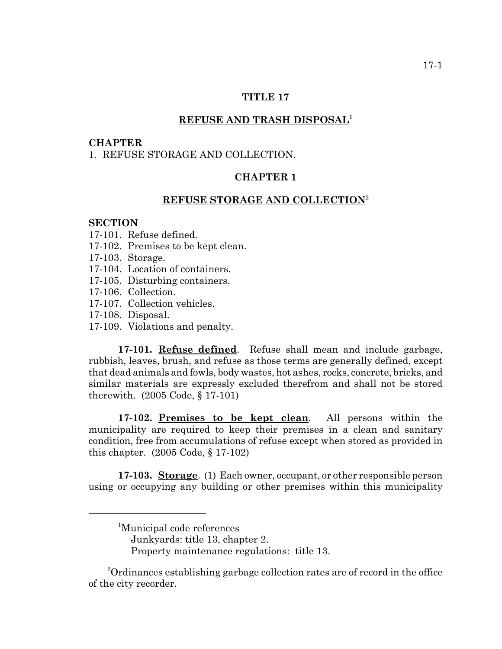#### **TITLE 17**

## **REFUSE AND TRASH DISPOSAL1**

#### **CHAPTER**

## 1. REFUSE STORAGE AND COLLECTION.

# **CHAPTER 1**

### **REFUSE STORAGE AND COLLECTION**<sup>2</sup>

#### **SECTION**

- 17-101. Refuse defined.
- 17-102. Premises to be kept clean.
- 17-103. Storage.
- 17-104. Location of containers.
- 17-105. Disturbing containers.
- 17-106. Collection.
- 17-107. Collection vehicles.
- 17-108. Disposal.
- 17-109. Violations and penalty.

**17-101. Refuse defined**. Refuse shall mean and include garbage, rubbish, leaves, brush, and refuse as those terms are generally defined, except that dead animals and fowls, body wastes, hot ashes, rocks, concrete, bricks, and similar materials are expressly excluded therefrom and shall not be stored therewith. (2005 Code, § 17-101)

**17-102. Premises to be kept clean**. All persons within the municipality are required to keep their premises in a clean and sanitary condition, free from accumulations of refuse except when stored as provided in this chapter. (2005 Code, § 17-102)

**17-103. Storage**. (1) Each owner, occupant, or other responsible person using or occupying any building or other premises within this municipality

<sup>2</sup>Ordinances establishing garbage collection rates are of record in the office of the city recorder.

<sup>1</sup> Municipal code references Junkyards: title 13, chapter 2. Property maintenance regulations: title 13.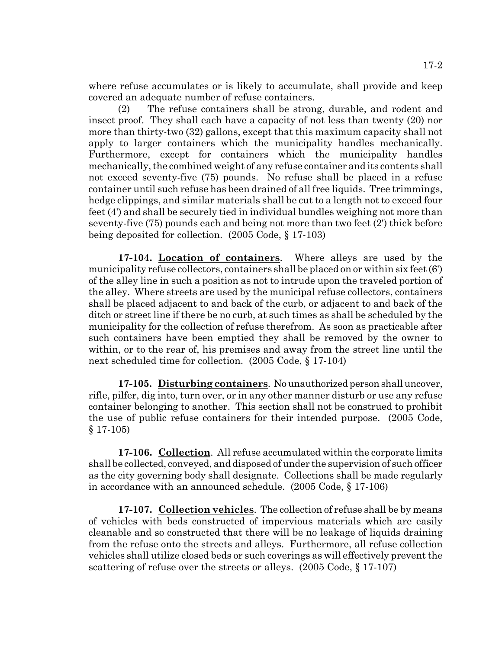where refuse accumulates or is likely to accumulate, shall provide and keep covered an adequate number of refuse containers.

(2) The refuse containers shall be strong, durable, and rodent and insect proof. They shall each have a capacity of not less than twenty (20) nor more than thirty-two (32) gallons, except that this maximum capacity shall not apply to larger containers which the municipality handles mechanically. Furthermore, except for containers which the municipality handles mechanically, the combined weight of any refuse container and its contents shall not exceed seventy-five (75) pounds. No refuse shall be placed in a refuse container until such refuse has been drained of all free liquids. Tree trimmings, hedge clippings, and similar materials shall be cut to a length not to exceed four feet (4') and shall be securely tied in individual bundles weighing not more than seventy-five (75) pounds each and being not more than two feet (2') thick before being deposited for collection. (2005 Code, § 17-103)

**17-104. Location of containers**. Where alleys are used by the municipality refuse collectors, containers shall be placed on or within six feet (6') of the alley line in such a position as not to intrude upon the traveled portion of the alley. Where streets are used by the municipal refuse collectors, containers shall be placed adjacent to and back of the curb, or adjacent to and back of the ditch or street line if there be no curb, at such times as shall be scheduled by the municipality for the collection of refuse therefrom. As soon as practicable after such containers have been emptied they shall be removed by the owner to within, or to the rear of, his premises and away from the street line until the next scheduled time for collection. (2005 Code, § 17-104)

**17-105. Disturbing containers**. No unauthorized person shall uncover, rifle, pilfer, dig into, turn over, or in any other manner disturb or use any refuse container belonging to another. This section shall not be construed to prohibit the use of public refuse containers for their intended purpose. (2005 Code, § 17-105)

**17-106. Collection**. All refuse accumulated within the corporate limits shall be collected, conveyed, and disposed of under the supervision of such officer as the city governing body shall designate. Collections shall be made regularly in accordance with an announced schedule. (2005 Code, § 17-106)

**17-107. Collection vehicles**. The collection of refuse shall be by means of vehicles with beds constructed of impervious materials which are easily cleanable and so constructed that there will be no leakage of liquids draining from the refuse onto the streets and alleys. Furthermore, all refuse collection vehicles shall utilize closed beds or such coverings as will effectively prevent the scattering of refuse over the streets or alleys. (2005 Code, § 17-107)